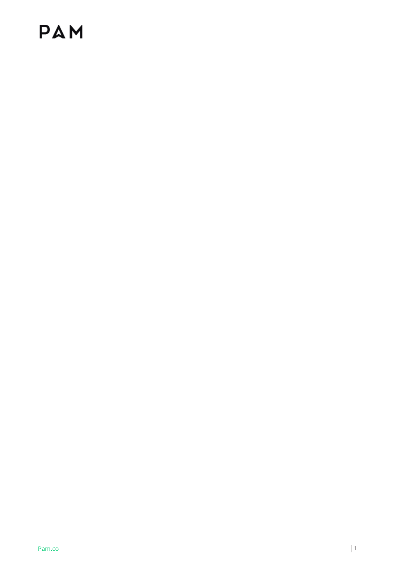# **PAM**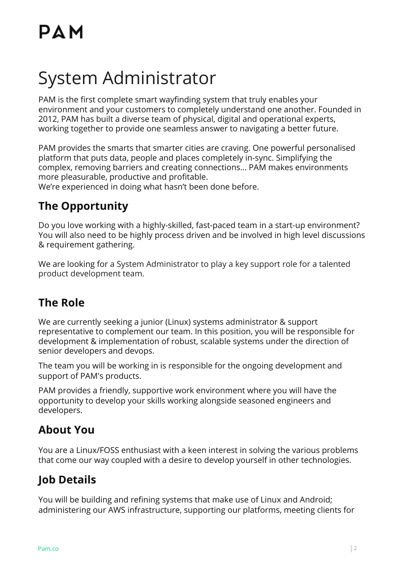# System Administrator

PAM is the first complete smart wayfinding system that truly enables your environment and your customers to completely understand one another. Founded in 2012, PAM has built a diverse team of physical, digital and operational experts, working together to provide one seamless answer to navigating a better future.

PAM provides the smarts that smarter cities are craving. One powerful personalised platform that puts data, people and places completely in-sync. Simplifying the complex, removing barriers and creating connections… PAM makes environments more pleasurable, productive and profitable.

We're experienced in doing what hasn't been done before.

### **The Opportunity**

Do you love working with a highly-skilled, fast-paced team in a start-up environment? You will also need to be highly process driven and be involved in high level discussions & requirement gathering.

We are looking for a System Administrator to play a key support role for a talented product development team.

### **The Role**

We are currently seeking a junior (Linux) systems administrator & support representative to complement our team. In this position, you will be responsible for development & implementation of robust, scalable systems under the direction of senior developers and devops.

The team you will be working in is responsible for the ongoing development and support of PAM's products.

PAM provides a friendly, supportive work environment where you will have the opportunity to develop your skills working alongside seasoned engineers and developers.

#### **About You**

You are a Linux/FOSS enthusiast with a keen interest in solving the various problems that come our way coupled with a desire to develop yourself in other technologies.

## **Job Details**

You will be building and refining systems that make use of Linux and Android; administering our AWS infrastructure, supporting our platforms, meeting clients for